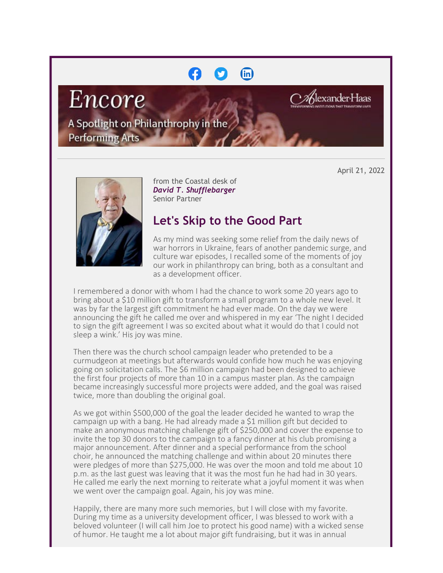## (in)

# Encore

A Spotlight on Philanthrophy in the **Performing Arts** 

April 21, 2022

lexander Haas



from the Coastal desk of *David T. Shufflebarger* Senior Partner

### **Let's Skip to the Good Part**

As my mind was seeking some relief from the daily news of war horrors in Ukraine, fears of another pandemic surge, and culture war episodes, I recalled some of the moments of joy our work in philanthropy can bring, both as a consultant and as a development officer.

I remembered a donor with whom I had the chance to work some 20 years ago to bring about a \$10 million gift to transform a small program to a whole new level. It was by far the largest gift commitment he had ever made. On the day we were announcing the gift he called me over and whispered in my ear 'The night I decided to sign the gift agreement I was so excited about what it would do that I could not sleep a wink.' His joy was mine.

Then there was the church school campaign leader who pretended to be a curmudgeon at meetings but afterwards would confide how much he was enjoying going on solicitation calls. The \$6 million campaign had been designed to achieve the first four projects of more than 10 in a campus master plan. As the campaign became increasingly successful more projects were added, and the goal was raised twice, more than doubling the original goal.

As we got within \$500,000 of the goal the leader decided he wanted to wrap the campaign up with a bang. He had already made a \$1 million gift but decided to make an anonymous matching challenge gift of \$250,000 and cover the expense to invite the top 30 donors to the campaign to a fancy dinner at his club promising a major announcement. After dinner and a special performance from the school choir, he announced the matching challenge and within about 20 minutes there were pledges of more than \$275,000. He was over the moon and told me about 10 p.m. as the last guest was leaving that it was the most fun he had had in 30 years. He called me early the next morning to reiterate what a joyful moment it was when we went over the campaign goal. Again, his joy was mine.

Happily, there are many more such memories, but I will close with my favorite. During my time as a university development officer, I was blessed to work with a beloved volunteer (I will call him Joe to protect his good name) with a wicked sense of humor. He taught me a lot about major gift fundraising, but it was in annual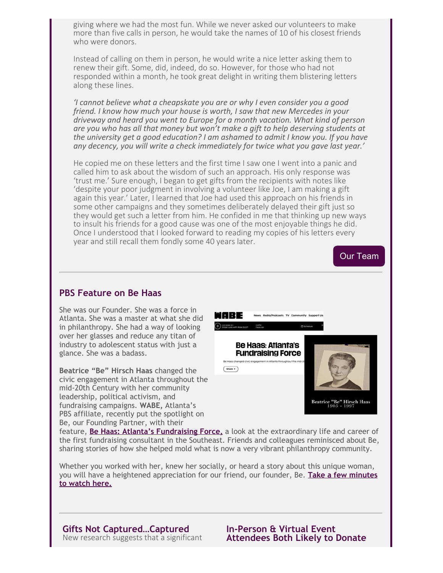giving where we had the most fun. While we never asked our volunteers to make more than five calls in person, he would take the names of 10 of his closest friends who were donors.

Instead of calling on them in person, he would write a nice letter asking them to renew their gift. Some, did, indeed, do so. However, for those who had not responded within a month, he took great delight in writing them blistering letters along these lines.

*'I cannot believe what a cheapskate you are or why I even consider you a good friend. I know how much your house is worth, I saw that new Mercedes in your driveway and heard you went to Europe for a month vacation. What kind of person are you who has all that money but won't make a gift to help deserving students at the university get a good education? I am ashamed to admit I know you. If you have any decency, you will write a check immediately for twice what you gave last year.'*

He copied me on these letters and the first time I saw one I went into a panic and called him to ask about the wisdom of such an approach. His only response was 'trust me.' Sure enough, I began to get gifts from the recipients with notes like 'despite your poor judgment in involving a volunteer like Joe, I am making a gift again this year.' Later, I learned that Joe had used this approach on his friends in some other campaigns and they sometimes deliberately delayed their gift just so they would get such a letter from him. He confided in me that thinking up new ways to insult his friends for a good cause was one of the most enjoyable things he did. Once I understood that I looked forward to reading my copies of his letters every year and still recall them fondly some 40 years later.



#### **PBS Feature on Be Haas**

She was our Founder. She was a force in Atlanta. She was a master at what she did in philanthropy. She had a way of looking over her glasses and reduce any titan of industry to adolescent status with just a glance. She was a badass.

**Beatrice "Be" Hirsch Haas** changed the civic engagement in Atlanta throughout the mid-20th Century with her community leadership, political activism, and fundraising campaigns. **WABE,** Atlanta's PBS affiliate, recently put the spotlight on Be, our Founding Partner, with their



feature, **[Be Haas: Atlanta's Fundraising Force,](https://cl.exct.net/?qs=948847b8744ebe700240cded298bc6fce0f8ac22088a3bf5539af5027faff2b57d3fbc0153138e760a33f4abe669da92)** a look at the extraordinary life and career of the first fundraising consultant in the Southeast. Friends and colleagues reminisced about Be, sharing stories of how she helped mold what is now a very vibrant philanthropy community.

Whether you worked with her, knew her socially, or heard a story about this unique woman, you will have a heightened appreciation for our friend, our founder, Be. **[Take a few minutes](https://cl.exct.net/?qs=948847b8744ebe709f0c3519898d82cb87b1a4424e09b347cf941598435bed85373a1010a9b2f33c7e421d1a705a6a1b) [to watch here.](https://cl.exct.net/?qs=948847b8744ebe709f0c3519898d82cb87b1a4424e09b347cf941598435bed85373a1010a9b2f33c7e421d1a705a6a1b)**

**Gifts Not Captured…Captured** New research suggests that a significant **In-Person & Virtual Event Attendees Both Likely to Donate**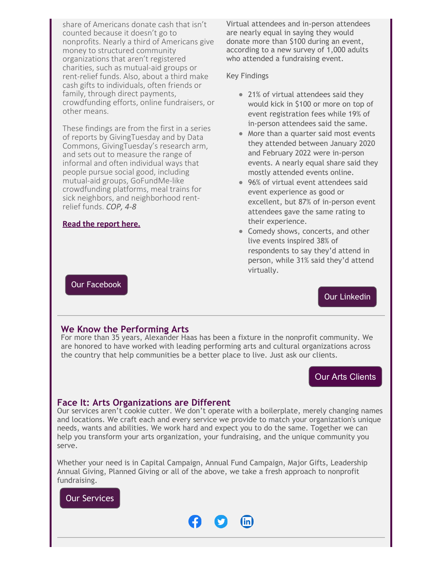share of Americans donate cash that isn't counted because it doesn't go to nonprofits. Nearly a third of Americans give money to structured community organizations that aren't registered charities, such as mutual-aid groups or rent-relief funds. Also, about a third make cash gifts to individuals, often friends or family, through direct payments, crowdfunding efforts, online fundraisers, or other means.

These findings are from the first in a series of reports by GivingTuesday and by Data Commons, GivingTuesday's research arm, and sets out to measure the range of informal and often individual ways that people pursue social good, including mutual-aid groups, GoFundMe-like crowdfunding platforms, meal trains for sick neighbors, and neighborhood rentrelief funds. *COP, 4-8*

#### **[Read the report here.](https://cl.exct.net/?qs=948847b8744ebe70127eff2226635754cb6eca77fc1af76ad5efa2aca4659faad67c2f070b6cfe757158ce2c22145b67)**

[Our Facebook](https://cl.exct.net/?qs=948847b8744ebe70eaa6291ad6dc1a0ec04843c94a181af15f25b5f2609ab18fe9af5af05de4e4914df2ab712cc2b7d6)

Virtual attendees and in-person attendees are nearly equal in saying they would donate more than \$100 during an event, according to a new survey of 1,000 adults who attended a fundraising event.

#### Key Findings

- 21% of virtual attendees said they would kick in \$100 or more on top of event registration fees while 19% of in-person attendees said the same.
- More than a quarter said most events they attended between January 2020 and February 2022 were in-person events. A nearly equal share said they mostly attended events online.
- 96% of virtual event attendees said event experience as good or excellent, but 87% of in-person event attendees gave the same rating to their experience.
- Comedy shows, concerts, and other live events inspired 38% of respondents to say they'd attend in person, while 31% said they'd attend virtually.

[Our Linkedin](https://cl.exct.net/?qs=948847b8744ebe70429f6aab188a1942ab28edbdba0c1628e791ffdd1a1bc6beab8e226844e95e0ddb507c5440c8da30)

#### **We Know the Performing Arts**

For more than 35 years, Alexander Haas has been a fixture in the nonprofit community. We are honored to have worked with leading performing arts and cultural organizations across the country that help communities be a better place to live. Just ask our clients.

#### [Our Arts Clients](https://cl.exct.net/?qs=948847b8744ebe70ebf1fc752160fc0feb159b591a3df366915df3d8fa6d3d2644623ba936d1d7139f8ed498c6dde2f0)

#### **Face It: Arts Organizations are Different**

Our services aren't cookie cutter. We don't operate with a boilerplate, merely changing names and locations. We craft each and every service we provide to match your organization's unique needs, wants and abilities. We work hard and expect you to do the same. Together we can help you transform your arts organization, your fundraising, and the unique community you serve.

Whether your need is in Capital Campaign, Annual Fund Campaign, Major Gifts, Leadership Annual Giving, Planned Giving or all of the above, we take a fresh approach to nonprofit fundraising.